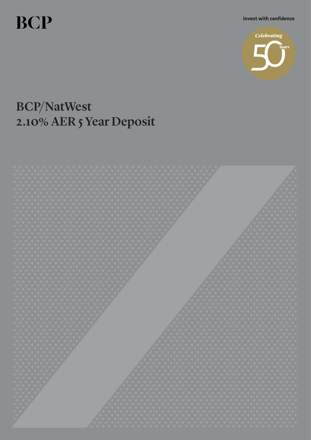# BCP

Invest with confidence



# BCP/NatWest 2.10% AER 5 Year Deposit

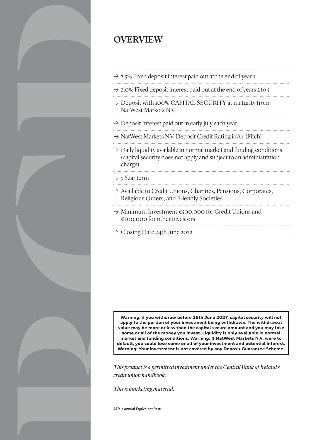

# **OVERVIEW**

| $\rightarrow$ 2.5% Fixed deposit interest paid out at the end of year 1 |  |  |  |  |  |
|-------------------------------------------------------------------------|--|--|--|--|--|
|-------------------------------------------------------------------------|--|--|--|--|--|

- $\rightarrow$  2.0% Fixed deposit interest paid out at the end of years 2 to 5
- $\rightarrow$  Deposit with 100% CAPITAL SECURITY at maturity from NatWest Markets N.V.
- $\rightarrow$  Deposit Interest paid out in early July each year

- $\rightarrow$  NatWest Markets N.V. Deposit Credit Rating is A+ (Fitch)
- $\rightarrow$  Daily liquidity available in normal market and funding conditions (capital security does not apply and subject to an administration charge)
- $\rightarrow$  5 Year term
- $\rightarrow$  Available to Credit Unions, Charities, Pensions, Corporates, Religious Orders, and Friendly Societies
- $\rightarrow$  Minimum Investment  $\epsilon$ 500,000 for Credit Unions and €100,000 for other investors
- $\rightarrow$  Closing Date 24th June 2022

Warning: if you withdraw before 28th June 2027, capital security will not apply to the portion of your investment being withdrawn. The withdrawal value may be more or less than the capital secure amount and you may lose some or all of the money you invest. Liquidity is only available in normal market and funding conditions. Warning: If NatWest Markets N.V. were to default, you could lose some or all of your investment and potential interest. Warning: Your investment is not covered by any Deposit Guarantee Scheme.

*This product is a permitted investment underthe Central Bank of Ireland's credit union handbook.*

*This is marketing material.*

AER is Annual Equivalent Rate.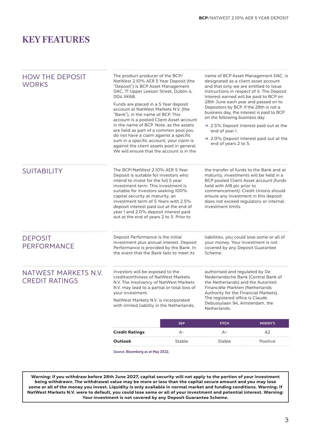### KEY FEATURES

| <b>HOW THE DEPOSIT</b><br><b>WORKS</b>        | The product producer of the BCP/<br>NatWest 2.10% AER 5 Year Deposit (the<br>"Deposit") is BCP Asset Management<br>DAC, 71 Upper Leeson Street, Dublin 4,<br>DO4 XK68.<br>Funds are placed in a 5 Year deposit<br>account at NatWest Markets N.V. (the<br>"Bank"), in the name of BCP. This<br>account is a pooled Client Asset account<br>in the name of BCP. Note, as the assets<br>are held as part of a common pool you<br>do not have a claim against a specific<br>sum in a specific account; your claim is<br>against the client assets pool in general.<br>We will ensure that the account is in the | name of BCP Asset Management DAC, is<br>designated as a client asset account<br>and that only we are entitled to issue<br>instructions in respect of it. The Deposit<br>Interest earned will be paid to BCP on<br>28th June each year and passed on to<br>Depositors by BCP. If the 28th is not a<br>business day, the interest is paid to BCP<br>on the following business day.<br>$\rightarrow$ 2.5% Deposit Interest paid out at the<br>end of year 1.<br>$\rightarrow$ 2.0% Deposit Interest paid out at the<br>end of years 2 to 5. |
|-----------------------------------------------|--------------------------------------------------------------------------------------------------------------------------------------------------------------------------------------------------------------------------------------------------------------------------------------------------------------------------------------------------------------------------------------------------------------------------------------------------------------------------------------------------------------------------------------------------------------------------------------------------------------|------------------------------------------------------------------------------------------------------------------------------------------------------------------------------------------------------------------------------------------------------------------------------------------------------------------------------------------------------------------------------------------------------------------------------------------------------------------------------------------------------------------------------------------|
| <b>SUITABILITY</b>                            | The BCP/NatWest 2.10% AER 5 Year<br>Deposit is suitable for investors who<br>intend to invest for the full 5 year<br>investment term. This investment is<br>suitable for investors seeking 100%<br>capital security at maturity, an<br>investment term of 5 Years with 2.5%<br>deposit interest paid out at the end of<br>year 1 and 2.0% deposit interest paid<br>out at the end of years 2 to 5. Prior to                                                                                                                                                                                                  | the transfer of funds to the Bank and at<br>maturity, investments will be held in a<br>BCP pooled Client Asset account (funds<br>held with AIB plc prior to<br>commencement). Credit Unions should<br>ensure any investment in this deposit<br>does not exceed regulatory or internal<br>investment limits.                                                                                                                                                                                                                              |
| <b>DEPOSIT</b><br>PERFORMANCE                 | Deposit Performance is the initial<br>investment plus annual interest. Deposit<br>Performance is provided by the Bank. In<br>the event that the Bank fails to meet its                                                                                                                                                                                                                                                                                                                                                                                                                                       | liabilities, you could lose some or all of<br>your money. Your investment is not<br>covered by any Deposit Guarantee<br>Scheme.                                                                                                                                                                                                                                                                                                                                                                                                          |
| NATWEST MARKETS N.V.<br><b>CREDIT RATINGS</b> | Investors will be exposed to the<br>creditworthiness of NatWest Markets<br>N.V. The insolvency of NatWest Markets<br>N.V. may lead to a partial or total loss of<br>your investment.<br>NatWest Markets N.V. is incorporated<br>with limited liability in the Netherlands,                                                                                                                                                                                                                                                                                                                                   | authorised and regulated by De<br>Nederlandsche Bank (Central Bank of<br>the Netherlands) and the Autoriteit<br>Financiële Markten (Netherlands<br>Authority for the Financial Markets).<br>The registered office is Claude<br>Debussylaan 94, Amsterdam, the<br>Netherlands.                                                                                                                                                                                                                                                            |
|                                               |                                                                                                                                                                                                                                                                                                                                                                                                                                                                                                                                                                                                              |                                                                                                                                                                                                                                                                                                                                                                                                                                                                                                                                          |

|                       |        | <b>FITCH</b> | <b>MOODY'S</b> |
|-----------------------|--------|--------------|----------------|
| <b>Credit Ratings</b> | д-     |              |                |
| Outlook               | Stable | Stable       | Positive       |

Source: Bloomberg as at May 2022.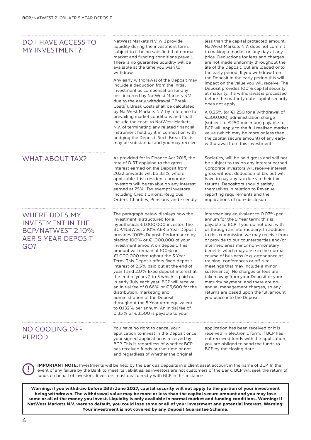| NatWest Markets N.V. will provide<br>liquidity during the investment term,<br>subject to it being satisfied that normal<br>market and funding conditions prevail.<br>There is no guarantee liquidity will be<br>available at the time you wish to<br>withdraw.<br>Any early withdrawal of the Deposit may<br>include a deduction from the initial<br>investment as compensation for any<br>loss incurred by NatWest Markets N.V.<br>due to the early withdrawal ("Break                                                                                                                                                                                                                                                                                                                                             | less than the capital protected amount.<br>NatWest Markets N.V. does not commit<br>to making a market on any day at any<br>price. Deductions for fees and charges<br>are not made uniformly throughout the<br>life of the Deposit, but are loaded onto<br>the early period. If you withdraw from<br>the Deposit in the early period this will<br>impact on the value you will receive. The<br>Deposit provides 100% capital security<br>at maturity, if a withdrawal is processed<br>before the maturity date capital security<br>does not apply.                                                                                                                                          |
|---------------------------------------------------------------------------------------------------------------------------------------------------------------------------------------------------------------------------------------------------------------------------------------------------------------------------------------------------------------------------------------------------------------------------------------------------------------------------------------------------------------------------------------------------------------------------------------------------------------------------------------------------------------------------------------------------------------------------------------------------------------------------------------------------------------------|--------------------------------------------------------------------------------------------------------------------------------------------------------------------------------------------------------------------------------------------------------------------------------------------------------------------------------------------------------------------------------------------------------------------------------------------------------------------------------------------------------------------------------------------------------------------------------------------------------------------------------------------------------------------------------------------|
| by NatWest Markets N.V. by reference to<br>prevailing market conditions and shall<br>include the costs to NatWest Markets<br>N.V. of terminating any related financial<br>instrument held by it in connection with<br>hedging the Deposit. Such Break Costs<br>may be substantial and you may receive                                                                                                                                                                                                                                                                                                                                                                                                                                                                                                               | A 0.25% (or $\epsilon$ 1,250 for a withdrawal of<br>€500,000) administration charge<br>(subject to €250 minimum) payable to<br>BCP will apply to the full realised market<br>value (which may be more or less than<br>the capital secure amount) of any early<br>withdrawal from this investment.                                                                                                                                                                                                                                                                                                                                                                                          |
| As provided for in Finance Act 2016, the<br>rate of DIRT applying to the gross<br>interest earned on the Deposit from<br>2022 onwards will be 33%, where<br>applicable. Irish resident corporate<br>investors will be taxable on any Interest<br>earned at 25%. Tax exempt investors<br>including Credit Unions, Religious<br>Orders, Charities, Pensions, and Friendly                                                                                                                                                                                                                                                                                                                                                                                                                                             | Societies, will be paid gross and will not<br>be subject to tax on any interest earned.<br>Corporate investors will receive interest<br>gross without deduction of tax but will<br>have to pay any tax due via their tax<br>returns. Depositors should satisfy<br>themselves in relation to Revenue<br>reporting requirements and the<br>implications of non-disclosure.                                                                                                                                                                                                                                                                                                                   |
| The paragraph below displays how the<br>investment is structured for a<br>hypothetical €1,000,000 investor. The<br>BCP/NatWest 2.10% AER 5 Year Deposit<br>provides 100% Deposit Performance by<br>placing 100% or €1,000,000 of your<br>investment amount on deposit. This<br>amount will remain at 100% or<br>€1,000,000 throughout the 5 Year<br>Term. This Deposit offers fixed deposit<br>interest of 2.5% paid out at the end of<br>year 1 and 2.0% fixed deposit interest at<br>the end of years 2 to 5 which is paid out<br>in early July each year. BCP will receive<br>an initial fee of 0.66% or €6,600 for the<br>distribution, marketing and<br>administration of the Deposit<br>throughout the 5 Year term equivalent<br>to 0.132% per annum. An initial fee of<br>0.35% or €3,500 is payable to your | intermediary equivalent to 0.07% per<br>annum for the 5 Year term; this is<br>payable to BCP if you do not deal with<br>us through an intermediary. In addition<br>to this commission we may receive from<br>or provide to our counterparties and/or<br>intermediaries minor non-monetary<br>benefits which may arise in the normal<br>course of business (e.g. attendance at<br>training, conferences or off-site<br>meetings that may include a minor<br>sustenance). No charges or fees are<br>taken away from your Deposit or your<br>maturity payment, and there are no<br>annual management charges, so any<br>returns are based upon the full amount<br>you place into the Deposit. |
| You have no right to cancel your<br>application to invest in the Deposit once<br>your signed application is received by<br>BCP. This is regardless of whether BCP<br>has received funds at that time or not<br>and regardless of whether the original                                                                                                                                                                                                                                                                                                                                                                                                                                                                                                                                                               | application has been received or it is<br>received in electronic form. If BCP has<br>not received funds with the application,<br>you are obliged to send the funds to<br>BCP by the closing date.                                                                                                                                                                                                                                                                                                                                                                                                                                                                                          |
|                                                                                                                                                                                                                                                                                                                                                                                                                                                                                                                                                                                                                                                                                                                                                                                                                     | Costs"). Break Costs shall be calculated                                                                                                                                                                                                                                                                                                                                                                                                                                                                                                                                                                                                                                                   |

IMPORTANT NOTE: Investments will be held by the Bank as deposits in a client asset account in the name of BCP. In the ÷ event of any failure by the Bank to meet its liabilities, as investors are not customers of the Bank, BCP will seek the return of funds on behalf of investors. Investors must deal directly with BCP in this instance.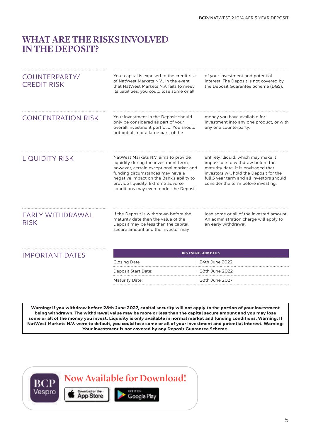### WHAT ARE THE RISKS INVOLVED IN THE DEPOSIT?

| COUNTERPARTY/<br><b>CREDIT RISK</b>    | Your capital is exposed to the credit risk<br>of NatWest Markets N.V., In the event<br>that NatWest Markets N.V. fails to meet<br>its liabilities, you could lose some or all                                                                                                            | of your investment and potential<br>interest. The Deposit is not covered by<br>the Deposit Guarantee Scheme (DGS).                                                                                                                              |
|----------------------------------------|------------------------------------------------------------------------------------------------------------------------------------------------------------------------------------------------------------------------------------------------------------------------------------------|-------------------------------------------------------------------------------------------------------------------------------------------------------------------------------------------------------------------------------------------------|
| <b>CONCENTRATION RISK</b>              | Your investment in the Deposit should<br>only be considered as part of your<br>overall investment portfolio. You should<br>not put all, nor a large part, of the                                                                                                                         | money you have available for<br>investment into any one product, or with<br>any one counterparty.                                                                                                                                               |
| <b>LIQUIDITY RISK</b>                  | NatWest Markets N.V. aims to provide<br>liquidity during the investment term,<br>however, certain exceptional market and<br>funding circumstances may have a<br>negative impact on the Bank's ability to<br>provide liquidity. Extreme adverse<br>conditions may even render the Deposit | entirely illiquid, which may make it<br>impossible to withdraw before the<br>maturity date. It is envisaged that<br>investors will hold the Deposit for the<br>full 5 year term and all investors should<br>consider the term before investing. |
| <b>EARLY WITHDRAWAL</b><br><b>RISK</b> | If the Deposit is withdrawn before the<br>maturity date then the value of the<br>Deposit may be less than the capital<br>secure amount and the investor may                                                                                                                              | lose some or all of the invested amount.<br>An administration charge will apply to<br>an early withdrawal.                                                                                                                                      |

### **IMPORTANT DATES**

| <b>KEY EVENTS AND DATES</b> |                |  |  |
|-----------------------------|----------------|--|--|
| Closing Date                | 24th June 2022 |  |  |
| Deposit Start Date:         | 28th June 2022 |  |  |
| Maturity Date:              | 28th June 2027 |  |  |

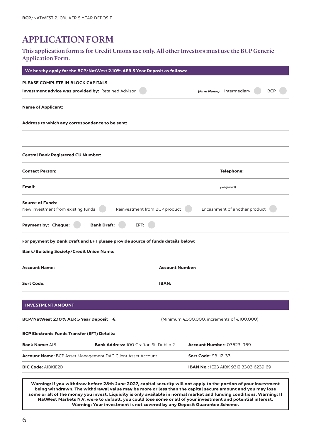### APPLICATION FORM

### This application form is for Credit Unions use only. All other Investors must use the BCP Generic Application Form.

|                                                               | We hereby apply for the BCP/NatWest 2.10% AER 5 Year Deposit as follows:                                                                                                                                                       |                        |                                              |                               |            |
|---------------------------------------------------------------|--------------------------------------------------------------------------------------------------------------------------------------------------------------------------------------------------------------------------------|------------------------|----------------------------------------------|-------------------------------|------------|
| <b>PLEASE COMPLETE IN BLOCK CAPITALS</b>                      |                                                                                                                                                                                                                                |                        |                                              |                               |            |
|                                                               | Investment advice was provided by: Retained Advisor                                                                                                                                                                            |                        |                                              | (Firm Name) Intermediary      | <b>BCP</b> |
| <b>Name of Applicant:</b>                                     |                                                                                                                                                                                                                                |                        |                                              |                               |            |
| Address to which any correspondence to be sent:               |                                                                                                                                                                                                                                |                        |                                              |                               |            |
|                                                               |                                                                                                                                                                                                                                |                        |                                              |                               |            |
| <b>Central Bank Registered CU Number:</b>                     |                                                                                                                                                                                                                                |                        |                                              |                               |            |
| <b>Contact Person:</b>                                        |                                                                                                                                                                                                                                |                        |                                              | <b>Telephone:</b>             |            |
| <b>Email:</b>                                                 |                                                                                                                                                                                                                                |                        |                                              | (Required)                    |            |
| <b>Source of Funds:</b><br>New investment from existing funds | Reinvestment from BCP product                                                                                                                                                                                                  |                        |                                              | Encashment of another product |            |
| Payment by: Cheque:                                           | <b>Bank Draft:</b><br>EFT:                                                                                                                                                                                                     |                        |                                              |                               |            |
|                                                               | For payment by Bank Draft and EFT please provide source of funds details below:                                                                                                                                                |                        |                                              |                               |            |
| <b>Bank/Building Society/Credit Union Name:</b>               |                                                                                                                                                                                                                                |                        |                                              |                               |            |
| <b>Account Name:</b>                                          |                                                                                                                                                                                                                                | <b>Account Number:</b> |                                              |                               |            |
| <b>Sort Code:</b>                                             |                                                                                                                                                                                                                                | <b>IBAN:</b>           |                                              |                               |            |
|                                                               |                                                                                                                                                                                                                                |                        |                                              |                               |            |
| <b>INVESTMENT AMOUNT</b>                                      |                                                                                                                                                                                                                                |                        |                                              |                               |            |
| BCP/NatWest 2.10% AER 5 Year Deposit €                        |                                                                                                                                                                                                                                |                        | (Minimum €500,000, increments of €100,000)   |                               |            |
| <b>BCP Electronic Funds Transfer (EFT) Details:</b>           |                                                                                                                                                                                                                                |                        |                                              |                               |            |
| <b>Bank Name: AIB</b>                                         | <b>Bank Address: 100 Grafton St. Dublin 2</b>                                                                                                                                                                                  |                        | <b>Account Number: 03623-969</b>             |                               |            |
|                                                               | Account Name: BCP Asset Management DAC Client Asset Account                                                                                                                                                                    |                        | <b>Sort Code: 93-12-33</b>                   |                               |            |
| <b>BIC Code: AIBKIE2D</b>                                     |                                                                                                                                                                                                                                |                        | <b>IBAN No.: IE23 AIBK 9312 3303 6239 69</b> |                               |            |
|                                                               | Warning: if you withdraw before 28th June 2027, capital security will not apply to the portion of your investment<br>being withdrawn. The withdrawal value may be more or less than the capital secure amount and you may lose |                        |                                              |                               |            |

being withdrawn. The withdrawal value may be more or less than the capital secure amount and you may lose some or all of the money you invest. Liquidity is only available in normal market and funding conditions. Warning: If NatWest Markets N.V. were to default, you could lose some or all of your investment and potential interest. Warning: Your investment is not covered by any Deposit Guarantee Scheme.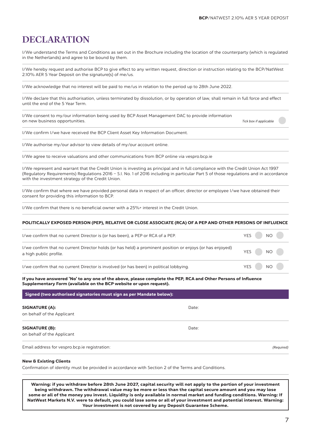7

## **DECLARATION**

I/We understand the Terms and Conditions as set out in the Brochure including the location of the counterparty (which is regulated in the Netherlands) and agree to be bound by them.

I/We hereby request and authorise BCP to give effect to any written request, direction or instruction relating to the BCP/NatWest 2.10% AER 5 Year Deposit on the signature(s) of me/us.

I/We acknowledge that no interest will be paid to me/us in relation to the period up to 28th June 2022.

I/We declare that this authorisation, unless terminated by dissolution, or by operation of law, shall remain in full force and effect until the end of the 5 Year Term.

I/We consent to my/our information being used by BCP Asset Management DAC to provide information on new business opportunities. The state of the state of the state of the state of the state of the state of the state of the state of the state of the state of the state of the state of the state of the state of the state

I/We confirm I/we have received the BCP Client Asset Key Information Document.

I/We authorise my/our advisor to view details of my/our account online.

I/We agree to receive valuations and other communications from BCP online via vespro.bcp.ie

I/We represent and warrant that the Credit Union is investing as principal and in full compliance with the Credit Union Act 1997 (Regulatory Requirements) Regulations 2016 – S.I. No. 1 of 2016 including in particular Part 5 of those regulations and in accordance with the investment strategy of the Credit Union.

I/We confirm that where we have provided personal data in respect of an officer, director or employee I/we have obtained their consent for providing this information to BCP.

I/We confirm that there is no beneficial owner with a 25%+ interest in the Credit Union.

#### POLITICALLY EXPOSED PERSON (PEP), RELATIVE OR CLOSE ASSOCIATE (RCA) OF A PEP AND OTHER PERSONS OF INFLUENCE

| I/we confirm that no current Director is (or has been), a PEP or RCA of a PEP.                                                      | YES NO             |
|-------------------------------------------------------------------------------------------------------------------------------------|--------------------|
| I/we confirm that no current Director holds (or has held) a prominent position or enjoys (or has enjoyed)<br>a high public profile. | YES NO             |
| I/we confirm that no current Director is involved (or has been) in political lobbying.                                              | NO  <br><b>YFS</b> |

If you have answered 'No' to any one of the above, please complete the PEP, RCA and Other Persons of Influence Supplementary Form (available on the BCP website or upon request).

| Signed (two authorised signatories must sign as per Mandate below): |       |            |  |
|---------------------------------------------------------------------|-------|------------|--|
| SIGNATURE (A):<br>on behalf of the Applicant                        | Date: |            |  |
| SIGNATURE (B):<br>on behalf of the Applicant                        | Date: |            |  |
| Email address for vespro.bcp.ie registration:                       |       | (Required) |  |

#### New & Existing Clients

Confirmation of identity must be provided in accordance with Section 2 of the Terms and Conditions.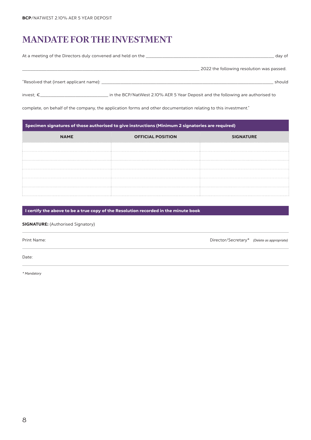### MANDATE FORTHE INVESTMENT

At a meeting of the Directors duly convened and held on the \_\_\_\_\_\_\_\_\_\_\_\_\_\_\_\_\_\_\_\_\_\_\_\_\_\_\_\_\_\_\_\_\_\_\_\_\_\_\_\_\_\_\_\_\_\_\_ day of

\_\_\_\_\_\_\_\_\_\_\_\_\_\_\_\_\_\_\_\_\_\_\_\_\_\_\_\_\_\_\_\_\_\_\_\_\_\_\_\_\_\_\_\_\_\_\_\_\_\_\_\_\_\_\_\_\_\_\_\_\_\_\_\_\_ 2022 the following resolution was passed. "Resolved that (insert applicant name): \_\_\_\_\_\_\_\_\_\_\_\_\_\_\_\_\_\_\_\_\_\_\_\_\_\_\_\_\_\_\_\_\_\_\_\_\_\_\_\_\_\_\_\_\_\_\_\_\_\_\_\_\_\_\_\_\_\_\_\_\_\_\_ should

invest; €\_\_\_\_\_\_\_\_\_\_\_\_\_\_\_\_\_\_\_\_\_\_\_\_\_ in the BCP/NatWest 2.10% AER 5 Year Deposit and the following are authorised to

complete, on behalf of the company, the application forms and other documentation relating to this investment."

#### Specimen signatures of those authorised to give instructions (Minimum 2 signatories are required)

| <b>NAME</b> | <b>OFFICIAL POSITION</b> | <b>SIGNATURE</b> |
|-------------|--------------------------|------------------|
|             |                          |                  |
|             |                          |                  |
|             |                          |                  |
|             |                          |                  |
|             |                          |                  |
|             |                          |                  |

I certify the above to be a true copy of the Resolution recorded in the minute book

#### SIGNATURE: (Authorised Signatory)

Print Name: Director/Secretary\* (Delete as appropriate)

Date:

\* Mandatory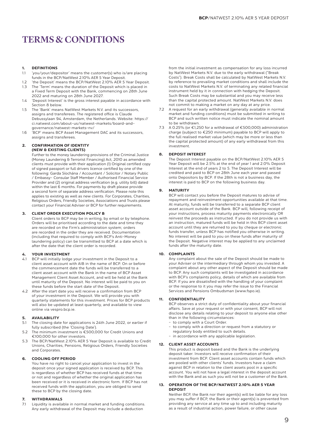### TERMS & CONDITIONS

#### 1. DEFINITIONS

- 1.1 'you/your/depositor' means the customer(s) who is/are placing funds in the BCP/NatWest 2.10% AER 5 Year Deposit.
- 1.2 'the Deposit' means the BCP/NatWest 2.10% AER 5 Year Deposit.
- 1.3 The 'Term' means the duration of the Deposit which is placed in a Fixed Term Deposit with the Bank, commencing on 28th June 2022 and maturing on 28th June 2027.
- 1.4 'Deposit Interest' is the gross interest payable in accordance with Section 8 below.
- 1.5 The 'Bank' means NatWest Markets N.V. and its successors, assigns and transferees. The registered office is Claude Debussylaan 94, Amsterdam, the Netherlands. Website: https:// ci.natwest.com/about-us/natwest-markets/board-andgovernance/natwest-markets-nv/
- 1.6 'BCP' means BCP Asset Management DAC and its successors, assigns and transferees.

#### 2. CONFIRMATION OF IDENTITY (NEW & EXISTING CLIENTS)

Further to the money laundering provisions of the Criminal Justice (Money Laundering & Terrorist Financing) Act, 2010 as amended clients must provide with their application (1) Original certified copy of signed passport or full drivers licence certified by one of the following: Garda Síochána / Accountant / Solicitor / Notary Public / Embassy- Consular Staff Member / Authorised Financial Service Provider and (2) original address verification (e.g. utility bill) dated within the last 6 months. For payments by draft please provide a second form of separate address verification. Please note this applies to existing as well as new clients. For Corporates, Charities, Religious Orders, Friendly Societies, Associations and Trusts please contact your Financial Adviser or BCP for further requirements.

#### 3. CLIENT ORDER EXECUTION POLICY B

Client orders to BCP may be in writing, by email or by telephone. Orders will be prioritised according to the date and time they are recorded on the Firm's administration system; orders are recorded in the order they are received. Documentation (including that required to comply with BCP's Anti-Money laundering policy) can be transmitted to BCP at a date which is after the date that the client order is recorded.

#### 4. YOUR INVESTMENT

- 4.1 BCP will initially lodge your investment in the Deposit to a client asset account with AIB in the name of BCP. On or before the commencement date the funds will be transferred to a client asset account with the Bank in the name of BCP Asset Management Client Asset Account, and will be held at the Bank until maturity of the Deposit. No interest will be paid to you on these funds before the start date of the Deposit.
- 4.2 After the start date you will receive a confirmation from BCP of your investment in the Deposit. We will provide you with quarterly statements for this investment. Prices for BCP products will also be updated at least quarterly, and available to view online via vespro.bcp.ie.

### **5. AVAILABILITY**<br>5.1 The closing dat

- The closing date for applications is 24th June 2022, or earlier if fully subscribed (the 'Closing Date').
- 5.2 The minimum investment is €500,000 for Credit Unions and €100,000 for other investors.
- 5.3 The BCP/NatWest 2.10% AER 5 Year Deposit is available to Credit Unions, Charities, Pensions, Religious Orders, Friendly Societies and Corporates.

#### 6. COOLING OFF PERIOD

You have no right to cancel your application to invest in the deposit once your signed application is received by BCP. This is regardless of whether BCP has received funds at that time or not and regardless of whether the original application has been received or it is received in electronic form. If BCP has not received funds with the application, you are obliged to send these to BCP by the closing date.

#### 7. WITHDRAWALS

7.1 Liquidity is available in normal market and funding conditions. Any early withdrawal of the Deposit may include a deduction

from the initial investment as compensation for any loss incurred by NatWest Markets N.V. due to the early withdrawal ("Break Costs"). Break Costs shall be calculated by NatWest Markets N.V. by reference to prevailing market conditions and shall include the costs to NatWest Markets N.V. of terminating any related financial instrument held by it in connection with hedging the Deposit. Such Break Costs may be substantial and you may receive less than the capital protected amount. NatWest Markets N.V. does not commit to making a market on any day at any price.

- 7.2 A request for an early withdrawal (generally available in normal market and funding conditions) must be submitted in writing to BCP and such written notice must indicate the nominal amount to be withdrawn.
- A 0.25% (or €1,250 for a withdrawal of €500,000) administration charge (subject to €250 minimum) payable to BCP will apply to the full realised market value (which may be more or less than the capital protected amount) of any early withdrawal from this investment.

#### 8. DEPOSIT INTEREST

The Deposit Interest payable on the BCP/NatWest 2.10% AER 5 Year Deposit will be 2.5% at the end of year 1 and 2.0% Deposit Interest at the end of years 2 to 5. The Deposit Interest will be credited and paid to BCP on 28th June each year and passed onto Depositors by BCP. If the 28th is not a business day, the interest is paid to BCP on the following business day.

#### 9. MATURITY

BCP will contact you before the Deposit matures to advise of repayment and reinvestment opportunities available at that time. At maturity, funds will be transferred to a separate BCP client asset account outside of the Bank. BCP will, following receipt of your instructions, process maturity payments electronically OR reinvest the proceeds as instructed. If you do not provide us with an instruction, matured funds will be held in this BCP client asset account until they are returned to you by cheque or electronic funds transfer, unless BCP has notified you otherwise in writing. No interest will be paid to you on these funds after maturity of the Deposit. Negative interest may be applied to any unclaimed funds after the maturity date.

#### 10. COMPLAINTS

Any complaint about the sale of the Deposit should be made to your Adviser or the intermediary through whom you invested. A complaint about any other aspect of the Deposit should be made to BCP. Any such complaints will be investigated in accordance with BCP's complaints policy, details of which are available from BCP. If you are dissatisfied with the handling of your complaint or the response to it you may refer the issue to the Financial Services and Pensions Ombudsman (www.fspo.ie).

#### 11. CONFIDENTIALITY

BCP observes a strict duty of confidentiality about your financial affairs. Save at your request or with your consent, BCP will not disclose any details relating to your deposit to anyone else other than in the following circumstances:

- to comply with a Court Order.
- to comply with a direction or request from a statutory or regulatory body entitled to such details.
- in accordance with any applicable legislation.

#### 12. CLIENT ASSET ACCOUNTS

This product is deposit based and the Bank is the underlying deposit taker. Investors will receive confirmation of their investment from BCP. Client asset accounts contain funds which are pooled with other clients' funds. Investors have a claim against BCP in relation to the client assets pool in a specific account. You will not have a legal interest in the deposit account with the Bank and as such you will not be a customer of the Bank.

#### 13. OPERATION OF THE BCP/NATWEST 2.10% AER 5 YEAR DEPOSIT

Neither BCP, the Bank nor their agent(s) will be liable for any loss you may suffer if BCP, the Bank or their agent(s) is prevented from providing any service at any time up to and including maturity as a result of industrial action, power failure, or other cause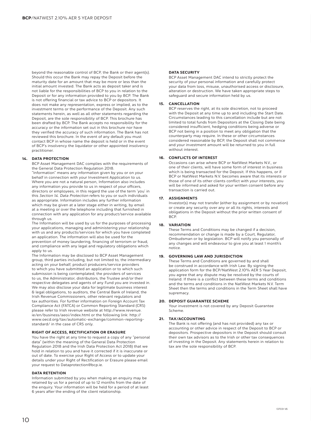beyond the reasonable control of BCP, the Bank or their agent(s). Should this occur the Bank may repay the Deposit before the maturity date for an amount that may be more or less than the initial amount invested. The Bank acts as deposit taker and is not liable for the responsibilities of BCP to you in relation to the Deposit or for any information provided to you by BCP. The Bank is not offering financial or tax advice to BCP or depositors. It does not make any representation, express or implied, as to the investment terms or the performance of the Deposit. Any such statements herein, as well as all other statements regarding the Deposit, are the sole responsibility of BCP. This brochure has been drafted by BCP. The Bank accepts no responsibility for the accuracy or the information set out in this brochure nor have they verified the accuracy of such information. The Bank has not reviewed this brochure. In the event of any default you must contact BCP in whose name the deposit is held or in the event of BCP's insolvency the liquidator or other appointed insolvency practitioner.

#### 14. DATA PROTECTION

BCP Asset Management DAC complies with the requirements of the General Data Protection Regulation 2018.

"Information" means any information given by you or on your behalf in connection with your Investment Application to us. Where you are not a natural person, Information also includes any information you provide to us in respect of your officers, directors or employees, in this regard the use of the term 'you' in this Section 14. Data Protection refers to you or such individuals as appropriate. Information includes any further information which may be given at a later stage either in writing, by email at a meeting or over the telephone including that furnished in connection with any application for any product/service available through us.

The Information will be used by us for the purposes of processing your applications, managing and administering your relationship with us and any products/services for which you have completed an application. The information will also be used for the prevention of money laundering, financing of terrorism or fraud, and compliance with any legal and regulatory obligations which apply to us.

The Information may be disclosed to BCP Asset Management group, third parties including, but not limited to, the intermediary acting on your behalf, product producers/service providers to which you have submitted an application or to which such submission is being contemplated, the providers of services to us, the Administrator, distributors, the Trustee and/or their respective delegates and agents of any Fund you are invested in. We may also disclose your data for legitimate business interest & legal obligations, to auditors, the Central Bank of Ireland, the Irish Revenue Commissioners, other relevant regulators and tax authorities. For further information on Foreign Account Tax Compliance Act (FATCA) or Common Reporting Standard (CRS) please refer to Irish revenue website at http://www.revenue. ie/en/business/aeoi/index.html or the following link: http:// www.oecd.org/tax/automatic-exchange/common-reportingstandard/ in the case of CRS only.

#### RIGHT OF ACCESS, RECTIFICATION OR ERASURE

You have the right at any time to request a copy of any "personal data" (within the meaning of the General Data Protection Regulation 2018 and the Irish Data Protection Act 2018) that we hold in relation to you and have it corrected if it is inaccurate or out of date. To exercise your Right of Access or to update your details under your Right of Rectification or Erasure please email your request to Dataprotection@bcp.ie.

#### DATA RETENTION

Information submitted by you when making an enquiry may be retained by us for a period of up to 12 months from the date of the enquiry. Your information will be held for a period of at least 6 years after the ending of the client relationship.

#### DATA SECURITY

BCP Asset Management DAC intend to strictly protect the security of your personal information and carefully protect your data from loss, misuse, unauthorised access or disclosure, alteration or destruction. We have taken appropriate steps to safeguard and secure information held by us.

#### 15. CANCELLATION

BCP reserves the right, at its sole discretion, not to proceed with the Deposit at any time up to and including the Start Date. Circumstances leading to this cancellation include but are not limited to total funds from Depositors at the Closing Date being considered insufficient, hedging conditions being adverse or BCP not being in a position to meet any obligation that the counterparty may require. In these or other circumstances considered reasonable by BCP, the Deposit shall not commence and your investment amount will be returned to you in full without interest.

#### 16. CONFLICTS OF INTEREST

Occasions can arise where BCP or NatWest Markets N.V., or one of their clients, will have some form of interest in business which is being transacted for the Deposit. If this happens, or if BCP or NatWest Markets N.V. becomes aware that its interests or those of one of its other clients conflict with your interests, you will be informed and asked for your written consent before any transaction is carried out.

#### **ASSIGNMENTS**

Investor(s) may not transfer (either by assignment or by novation) or create any security over any or all its rights, interests and obligations in the Deposit without the prior written consent of BCP.

#### 18. VARIATION

These Terms and Conditions may be changed if a decision, recommendation or change is made by a Court, Regulator, Ombudsman or by legislation. BCP will notify you personally of any changes and will endeavour to give you at least 1 month's notice.

#### 19. GOVERNING LAW AND JURISDICTION

These Terms and Conditions are governed by and shall be construed in accordance with Irish Law. By signing the application form for the BCP/NatWest 2.10% AER 5 Year Deposit, you agree that any dispute may be resolved by the courts of Ireland. If there is a conflict between these terms and conditions and the terms and conditions in the NatWest Markets N.V. Term Sheet then the terms and conditions in the Term Sheet shall have supremacy.

#### 20. DEPOSIT GUARANTEE SCHEME

Your investment is not covered by any Deposit Guarantee Scheme.

#### 21. TAX/ACCOUNTING

The Bank is not offering (and has not provided) any tax or accounting or other advice in respect of the Deposit to BCP or depositors. Prospective depositors in the Deposit should consult their own tax advisors as to the Irish or other tax consequences of investing in the Deposit. Any statements herein in relation to tax are the sole responsibility of BCP.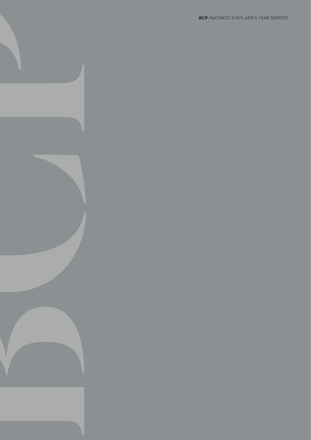

BCP/NATWEST 2.10% AER 5 YEAR DEPOSIT